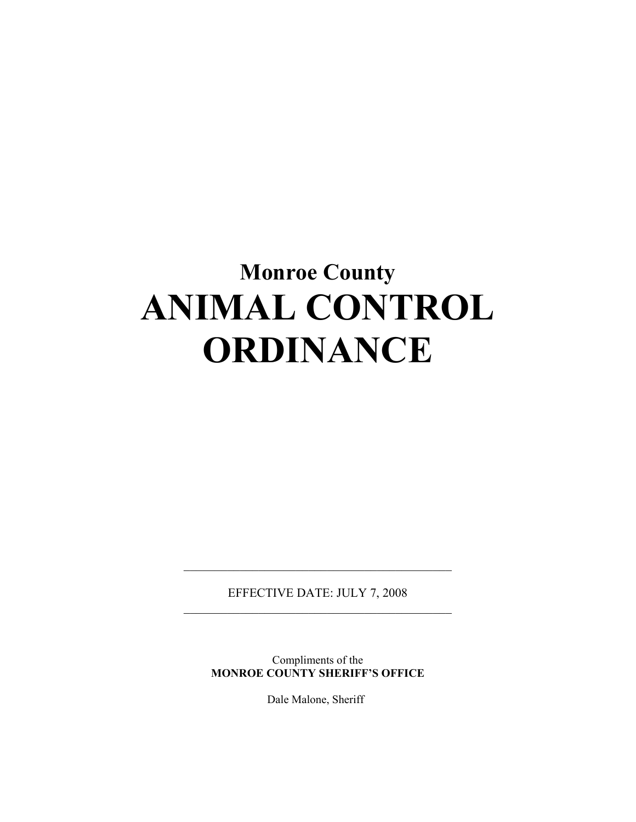# **Monroe County ANIMAL CONTROL ORDINANCE**

EFFECTIVE DATE: JULY 7, 2008  $\overline{\phantom{a}}$  , and the set of the set of the set of the set of the set of the set of the set of the set of the set of the set of the set of the set of the set of the set of the set of the set of the set of the set of the s

 $\overline{\phantom{a}}$  , and the set of the set of the set of the set of the set of the set of the set of the set of the set of the set of the set of the set of the set of the set of the set of the set of the set of the set of the s

Compliments of the **MONROE COUNTY SHERIFF'S OFFICE** 

Dale Malone, Sheriff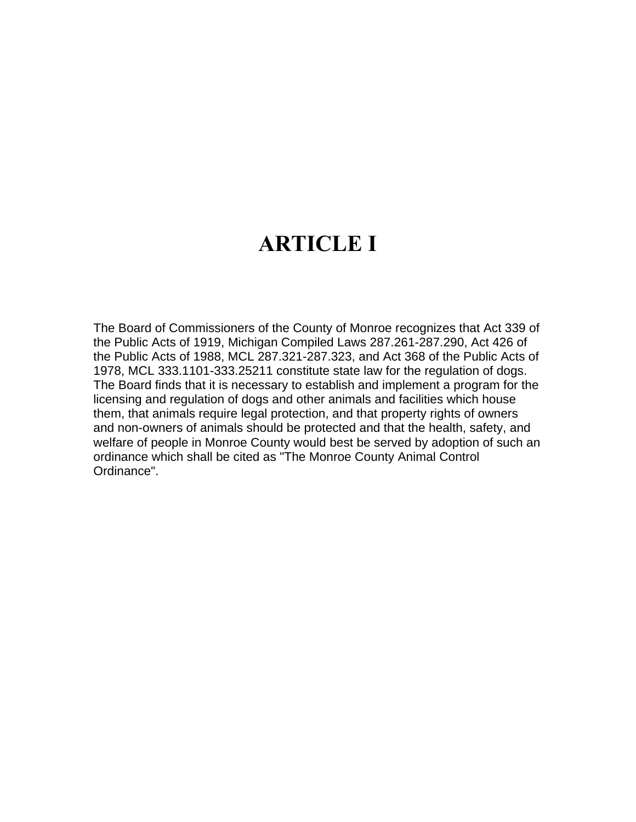## **ARTICLE I**

The Board of Commissioners of the County of Monroe recognizes that Act 339 of the Public Acts of 1919, Michigan Compiled Laws 287.261-287.290, Act 426 of the Public Acts of 1988, MCL 287.321-287.323, and Act 368 of the Public Acts of 1978, MCL 333.1101-333.25211 constitute state law for the regulation of dogs. The Board finds that it is necessary to establish and implement a program for the licensing and regulation of dogs and other animals and facilities which house them, that animals require legal protection, and that property rights of owners and non-owners of animals should be protected and that the health, safety, and welfare of people in Monroe County would best be served by adoption of such an ordinance which shall be cited as "The Monroe County Animal Control Ordinance".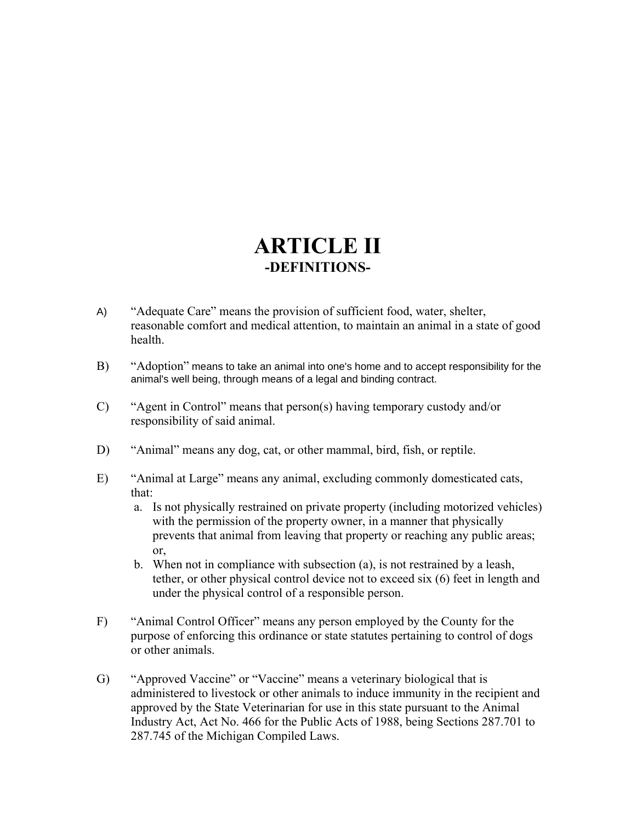### **ARTICLE II -DEFINITIONS-**

- A) "Adequate Care" means the provision of sufficient food, water, shelter, reasonable comfort and medical attention, to maintain an animal in a state of good health.
- B) "Adoption" means to take an animal into one's home and to accept responsibility for the animal's well being, through means of a legal and binding contract.
- C) "Agent in Control" means that person(s) having temporary custody and/or responsibility of said animal.
- D) "Animal" means any dog, cat, or other mammal, bird, fish, or reptile.
- E) "Animal at Large" means any animal, excluding commonly domesticated cats, that:
	- a. Is not physically restrained on private property (including motorized vehicles) with the permission of the property owner, in a manner that physically prevents that animal from leaving that property or reaching any public areas; or,
	- b. When not in compliance with subsection (a), is not restrained by a leash, tether, or other physical control device not to exceed six (6) feet in length and under the physical control of a responsible person.
- F) "Animal Control Officer" means any person employed by the County for the purpose of enforcing this ordinance or state statutes pertaining to control of dogs or other animals.
- G) "Approved Vaccine" or "Vaccine" means a veterinary biological that is administered to livestock or other animals to induce immunity in the recipient and approved by the State Veterinarian for use in this state pursuant to the Animal Industry Act, Act No. 466 for the Public Acts of 1988, being Sections 287.701 to 287.745 of the Michigan Compiled Laws.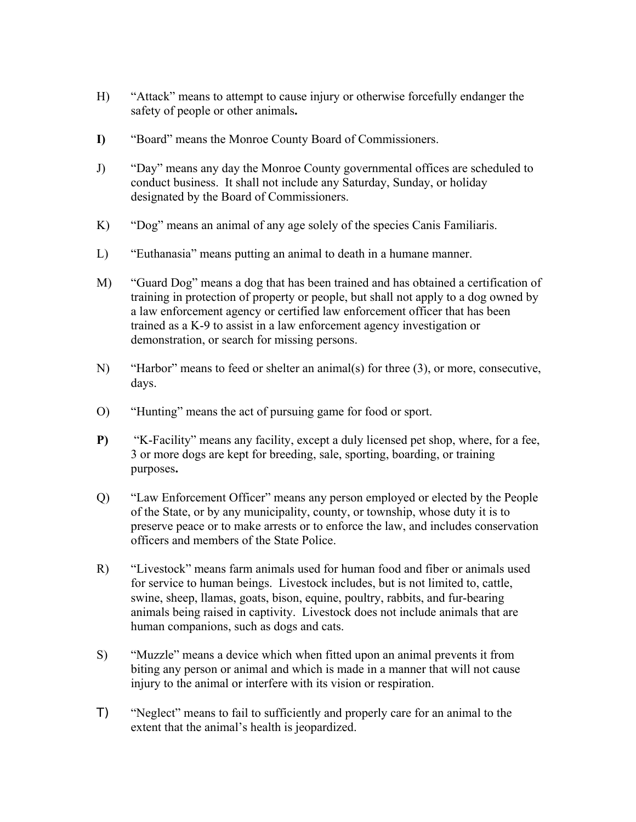- H) "Attack" means to attempt to cause injury or otherwise forcefully endanger the safety of people or other animals**.**
- **I)** "Board" means the Monroe County Board of Commissioners.
- J) "Day" means any day the Monroe County governmental offices are scheduled to conduct business. It shall not include any Saturday, Sunday, or holiday designated by the Board of Commissioners.
- K) "Dog" means an animal of any age solely of the species Canis Familiaris.
- L) "Euthanasia" means putting an animal to death in a humane manner.
- M) "Guard Dog" means a dog that has been trained and has obtained a certification of training in protection of property or people, but shall not apply to a dog owned by a law enforcement agency or certified law enforcement officer that has been trained as a K-9 to assist in a law enforcement agency investigation or demonstration, or search for missing persons.
- N) "Harbor" means to feed or shelter an animal(s) for three (3), or more, consecutive, days.
- O) "Hunting" means the act of pursuing game for food or sport.
- **P)** "K-Facility" means any facility, except a duly licensed pet shop, where, for a fee, 3 or more dogs are kept for breeding, sale, sporting, boarding, or training purposes**.**
- Q) "Law Enforcement Officer" means any person employed or elected by the People of the State, or by any municipality, county, or township, whose duty it is to preserve peace or to make arrests or to enforce the law, and includes conservation officers and members of the State Police.
- R) "Livestock" means farm animals used for human food and fiber or animals used for service to human beings. Livestock includes, but is not limited to, cattle, swine, sheep, llamas, goats, bison, equine, poultry, rabbits, and fur-bearing animals being raised in captivity. Livestock does not include animals that are human companions, such as dogs and cats.
- S) "Muzzle" means a device which when fitted upon an animal prevents it from biting any person or animal and which is made in a manner that will not cause injury to the animal or interfere with its vision or respiration.
- T) "Neglect" means to fail to sufficiently and properly care for an animal to the extent that the animal's health is jeopardized.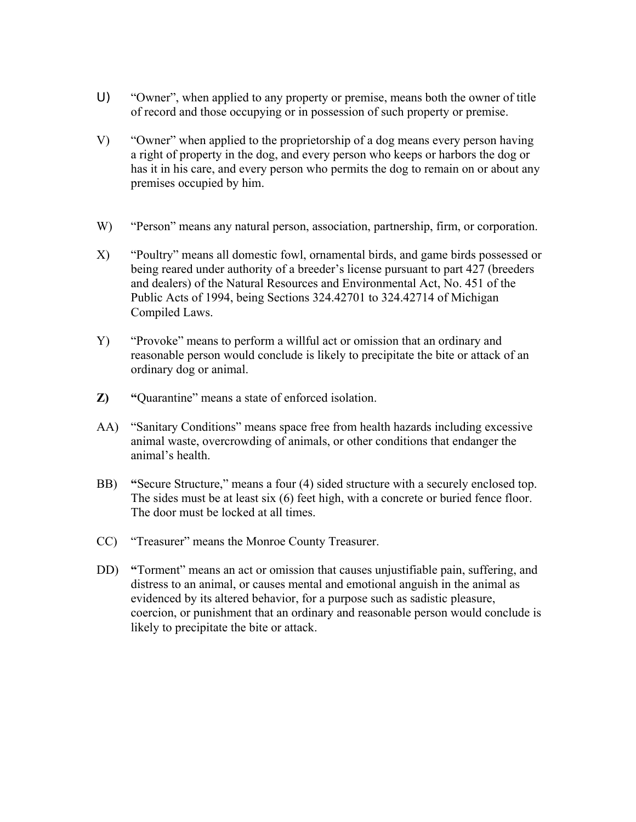- U) "Owner", when applied to any property or premise, means both the owner of title of record and those occupying or in possession of such property or premise.
- V) "Owner" when applied to the proprietorship of a dog means every person having a right of property in the dog, and every person who keeps or harbors the dog or has it in his care, and every person who permits the dog to remain on or about any premises occupied by him.
- W) "Person" means any natural person, association, partnership, firm, or corporation.
- X) "Poultry" means all domestic fowl, ornamental birds, and game birds possessed or being reared under authority of a breeder's license pursuant to part 427 (breeders and dealers) of the Natural Resources and Environmental Act, No. 451 of the Public Acts of 1994, being Sections 324.42701 to 324.42714 of Michigan Compiled Laws.
- Y) "Provoke" means to perform a willful act or omission that an ordinary and reasonable person would conclude is likely to precipitate the bite or attack of an ordinary dog or animal.
- **Z) "**Quarantine" means a state of enforced isolation.
- AA) "Sanitary Conditions" means space free from health hazards including excessive animal waste, overcrowding of animals, or other conditions that endanger the animal's health.
- BB) **"**Secure Structure," means a four (4) sided structure with a securely enclosed top. The sides must be at least six (6) feet high, with a concrete or buried fence floor. The door must be locked at all times.
- CC) "Treasurer" means the Monroe County Treasurer.
- DD) **"**Torment" means an act or omission that causes unjustifiable pain, suffering, and distress to an animal, or causes mental and emotional anguish in the animal as evidenced by its altered behavior, for a purpose such as sadistic pleasure, coercion, or punishment that an ordinary and reasonable person would conclude is likely to precipitate the bite or attack.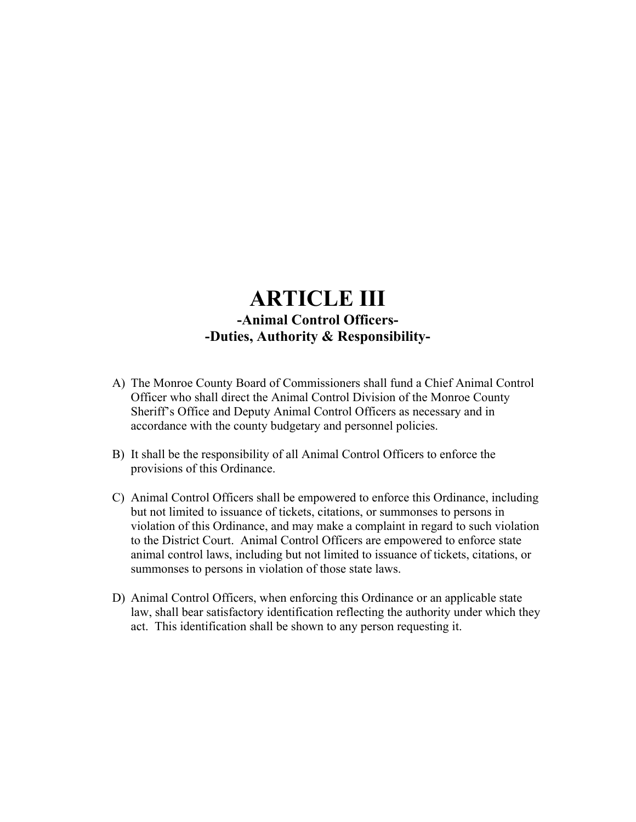### **ARTICLE III -Animal Control Officers- -Duties, Authority & Responsibility-**

- A) The Monroe County Board of Commissioners shall fund a Chief Animal Control Officer who shall direct the Animal Control Division of the Monroe County Sheriff's Office and Deputy Animal Control Officers as necessary and in accordance with the county budgetary and personnel policies.
- B) It shall be the responsibility of all Animal Control Officers to enforce the provisions of this Ordinance.
- C) Animal Control Officers shall be empowered to enforce this Ordinance, including but not limited to issuance of tickets, citations, or summonses to persons in violation of this Ordinance, and may make a complaint in regard to such violation to the District Court. Animal Control Officers are empowered to enforce state animal control laws, including but not limited to issuance of tickets, citations, or summonses to persons in violation of those state laws.
- D) Animal Control Officers, when enforcing this Ordinance or an applicable state law, shall bear satisfactory identification reflecting the authority under which they act. This identification shall be shown to any person requesting it.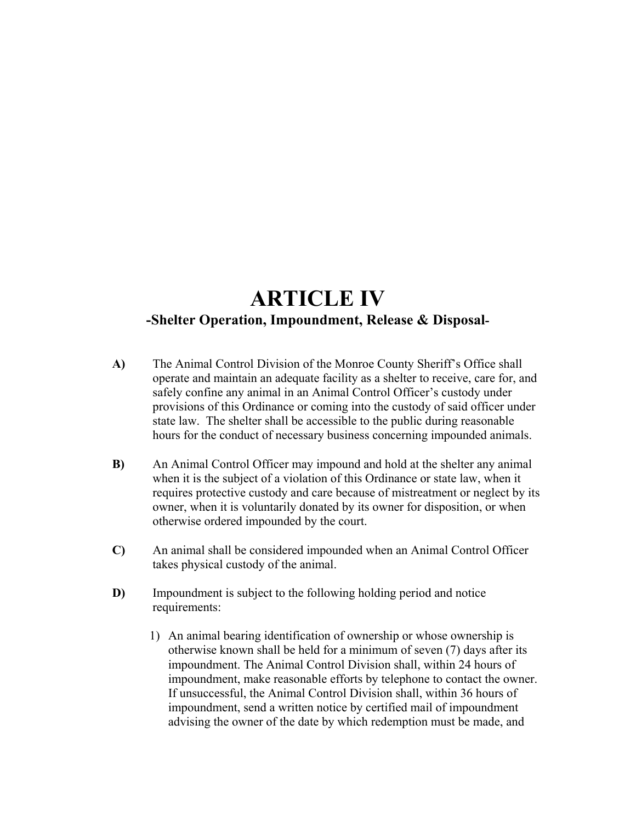### **ARTICLE IV -Shelter Operation, Impoundment, Release & Disposal-**

- **A)** The Animal Control Division of the Monroe County Sheriff's Office shall operate and maintain an adequate facility as a shelter to receive, care for, and safely confine any animal in an Animal Control Officer's custody under provisions of this Ordinance or coming into the custody of said officer under state law. The shelter shall be accessible to the public during reasonable hours for the conduct of necessary business concerning impounded animals.
- **B)** An Animal Control Officer may impound and hold at the shelter any animal when it is the subject of a violation of this Ordinance or state law, when it requires protective custody and care because of mistreatment or neglect by its owner, when it is voluntarily donated by its owner for disposition, or when otherwise ordered impounded by the court.
- **C)** An animal shall be considered impounded when an Animal Control Officer takes physical custody of the animal.
- **D)** Impoundment is subject to the following holding period and notice requirements:
	- 1) An animal bearing identification of ownership or whose ownership is otherwise known shall be held for a minimum of seven (7) days after its impoundment. The Animal Control Division shall, within 24 hours of impoundment, make reasonable efforts by telephone to contact the owner. If unsuccessful, the Animal Control Division shall, within 36 hours of impoundment, send a written notice by certified mail of impoundment advising the owner of the date by which redemption must be made, and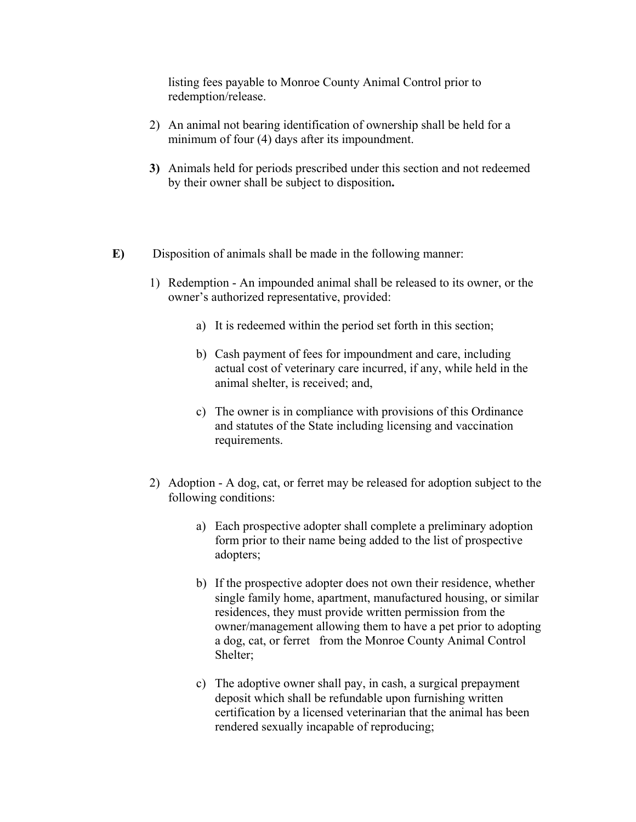listing fees payable to Monroe County Animal Control prior to redemption/release.

- 2) An animal not bearing identification of ownership shall be held for a minimum of four (4) days after its impoundment.
- **3)** Animals held for periods prescribed under this section and not redeemed by their owner shall be subject to disposition**.**
- **E)** Disposition of animals shall be made in the following manner:
	- 1) Redemption An impounded animal shall be released to its owner, or the owner's authorized representative, provided:
		- a) It is redeemed within the period set forth in this section;
		- b) Cash payment of fees for impoundment and care, including actual cost of veterinary care incurred, if any, while held in the animal shelter, is received; and,
		- c) The owner is in compliance with provisions of this Ordinance and statutes of the State including licensing and vaccination requirements.
	- 2) Adoption A dog, cat, or ferret may be released for adoption subject to the following conditions:
		- a) Each prospective adopter shall complete a preliminary adoption form prior to their name being added to the list of prospective adopters;
		- b) If the prospective adopter does not own their residence, whether single family home, apartment, manufactured housing, or similar residences, they must provide written permission from the owner/management allowing them to have a pet prior to adopting a dog, cat, or ferret from the Monroe County Animal Control Shelter;
		- c) The adoptive owner shall pay, in cash, a surgical prepayment deposit which shall be refundable upon furnishing written certification by a licensed veterinarian that the animal has been rendered sexually incapable of reproducing;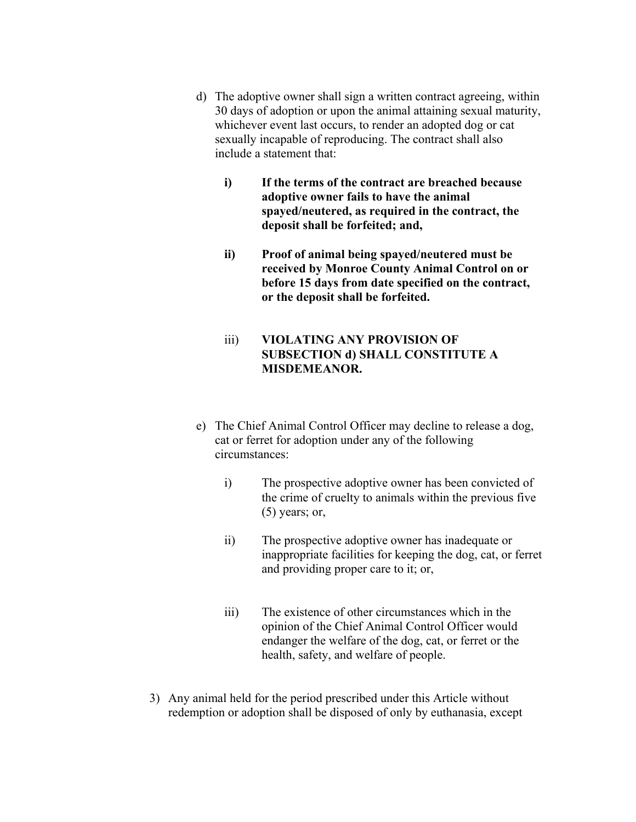- d) The adoptive owner shall sign a written contract agreeing, within 30 days of adoption or upon the animal attaining sexual maturity, whichever event last occurs, to render an adopted dog or cat sexually incapable of reproducing. The contract shall also include a statement that:
	- **i) If the terms of the contract are breached because adoptive owner fails to have the animal spayed/neutered, as required in the contract, the deposit shall be forfeited; and,**
	- **ii) Proof of animal being spayed/neutered must be received by Monroe County Animal Control on or before 15 days from date specified on the contract, or the deposit shall be forfeited.**
	- iii) **VIOLATING ANY PROVISION OF SUBSECTION d) SHALL CONSTITUTE A MISDEMEANOR.**
- e) The Chief Animal Control Officer may decline to release a dog, cat or ferret for adoption under any of the following circumstances:
	- i) The prospective adoptive owner has been convicted of the crime of cruelty to animals within the previous five  $(5)$  years; or,
	- ii) The prospective adoptive owner has inadequate or inappropriate facilities for keeping the dog, cat, or ferret and providing proper care to it; or,
	- iii) The existence of other circumstances which in the opinion of the Chief Animal Control Officer would endanger the welfare of the dog, cat, or ferret or the health, safety, and welfare of people.
- 3) Any animal held for the period prescribed under this Article without redemption or adoption shall be disposed of only by euthanasia, except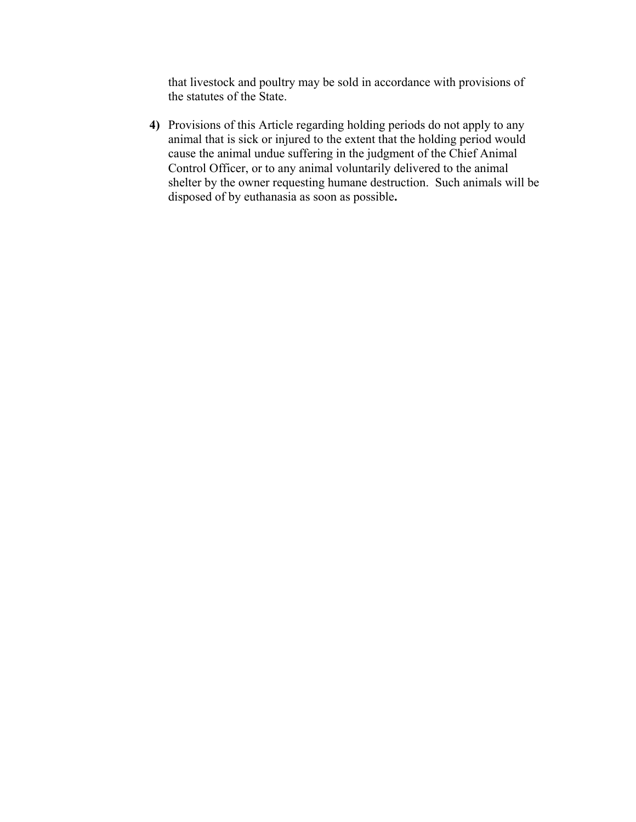that livestock and poultry may be sold in accordance with provisions of the statutes of the State.

**4)** Provisions of this Article regarding holding periods do not apply to any animal that is sick or injured to the extent that the holding period would cause the animal undue suffering in the judgment of the Chief Animal Control Officer, or to any animal voluntarily delivered to the animal shelter by the owner requesting humane destruction. Such animals will be disposed of by euthanasia as soon as possible**.**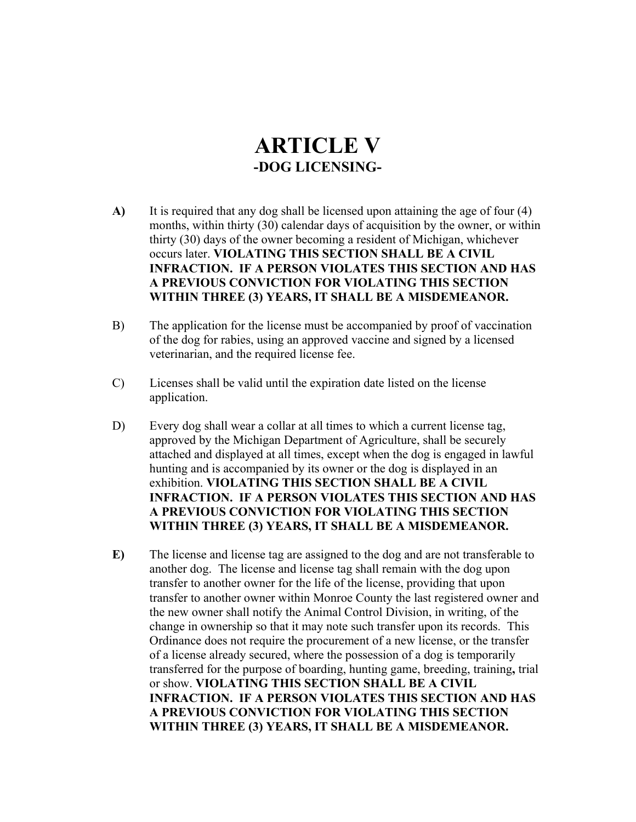### **ARTICLE V -DOG LICENSING-**

- **A)** It is required that any dog shall be licensed upon attaining the age of four (4) months, within thirty (30) calendar days of acquisition by the owner, or within thirty (30) days of the owner becoming a resident of Michigan, whichever occurs later. **VIOLATING THIS SECTION SHALL BE A CIVIL INFRACTION. IF A PERSON VIOLATES THIS SECTION AND HAS A PREVIOUS CONVICTION FOR VIOLATING THIS SECTION WITHIN THREE (3) YEARS, IT SHALL BE A MISDEMEANOR.**
- B) The application for the license must be accompanied by proof of vaccination of the dog for rabies, using an approved vaccine and signed by a licensed veterinarian, and the required license fee.
- C) Licenses shall be valid until the expiration date listed on the license application.
- D) Every dog shall wear a collar at all times to which a current license tag, approved by the Michigan Department of Agriculture, shall be securely attached and displayed at all times, except when the dog is engaged in lawful hunting and is accompanied by its owner or the dog is displayed in an exhibition. **VIOLATING THIS SECTION SHALL BE A CIVIL INFRACTION. IF A PERSON VIOLATES THIS SECTION AND HAS A PREVIOUS CONVICTION FOR VIOLATING THIS SECTION WITHIN THREE (3) YEARS, IT SHALL BE A MISDEMEANOR.**
- **E)** The license and license tag are assigned to the dog and are not transferable to another dog. The license and license tag shall remain with the dog upon transfer to another owner for the life of the license, providing that upon transfer to another owner within Monroe County the last registered owner and the new owner shall notify the Animal Control Division, in writing, of the change in ownership so that it may note such transfer upon its records. This Ordinance does not require the procurement of a new license, or the transfer of a license already secured, where the possession of a dog is temporarily transferred for the purpose of boarding, hunting game, breeding, training**,** trial or show. **VIOLATING THIS SECTION SHALL BE A CIVIL INFRACTION. IF A PERSON VIOLATES THIS SECTION AND HAS A PREVIOUS CONVICTION FOR VIOLATING THIS SECTION WITHIN THREE (3) YEARS, IT SHALL BE A MISDEMEANOR.**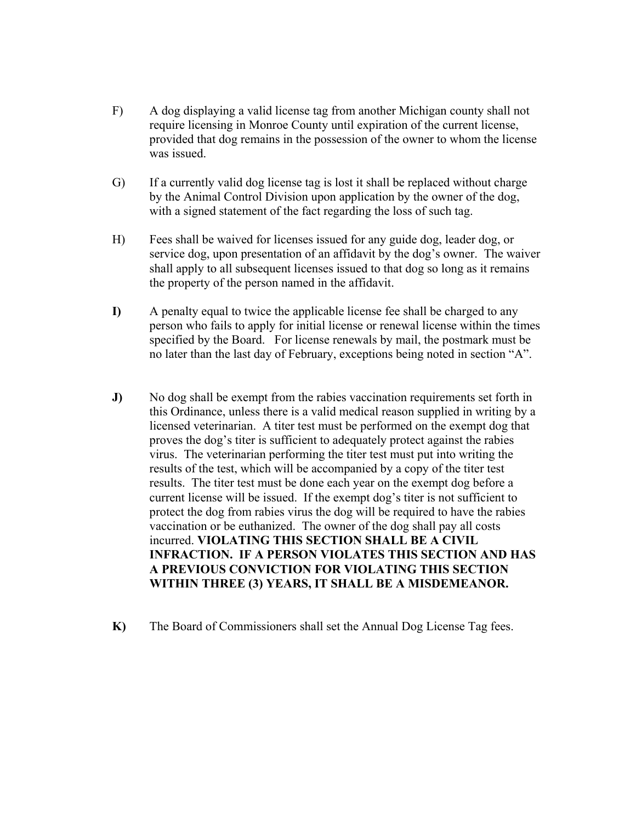- F) A dog displaying a valid license tag from another Michigan county shall not require licensing in Monroe County until expiration of the current license, provided that dog remains in the possession of the owner to whom the license was issued.
- G) If a currently valid dog license tag is lost it shall be replaced without charge by the Animal Control Division upon application by the owner of the dog, with a signed statement of the fact regarding the loss of such tag.
- H) Fees shall be waived for licenses issued for any guide dog, leader dog, or service dog, upon presentation of an affidavit by the dog's owner. The waiver shall apply to all subsequent licenses issued to that dog so long as it remains the property of the person named in the affidavit.
- **I)** A penalty equal to twice the applicable license fee shall be charged to any person who fails to apply for initial license or renewal license within the times specified by the Board. For license renewals by mail, the postmark must be no later than the last day of February, exceptions being noted in section "A".
- **J)** No dog shall be exempt from the rabies vaccination requirements set forth in this Ordinance, unless there is a valid medical reason supplied in writing by a licensed veterinarian. A titer test must be performed on the exempt dog that proves the dog's titer is sufficient to adequately protect against the rabies virus. The veterinarian performing the titer test must put into writing the results of the test, which will be accompanied by a copy of the titer test results. The titer test must be done each year on the exempt dog before a current license will be issued. If the exempt dog's titer is not sufficient to protect the dog from rabies virus the dog will be required to have the rabies vaccination or be euthanized. The owner of the dog shall pay all costs incurred. **VIOLATING THIS SECTION SHALL BE A CIVIL INFRACTION. IF A PERSON VIOLATES THIS SECTION AND HAS A PREVIOUS CONVICTION FOR VIOLATING THIS SECTION WITHIN THREE (3) YEARS, IT SHALL BE A MISDEMEANOR.**
- **K)** The Board of Commissioners shall set the Annual Dog License Tag fees.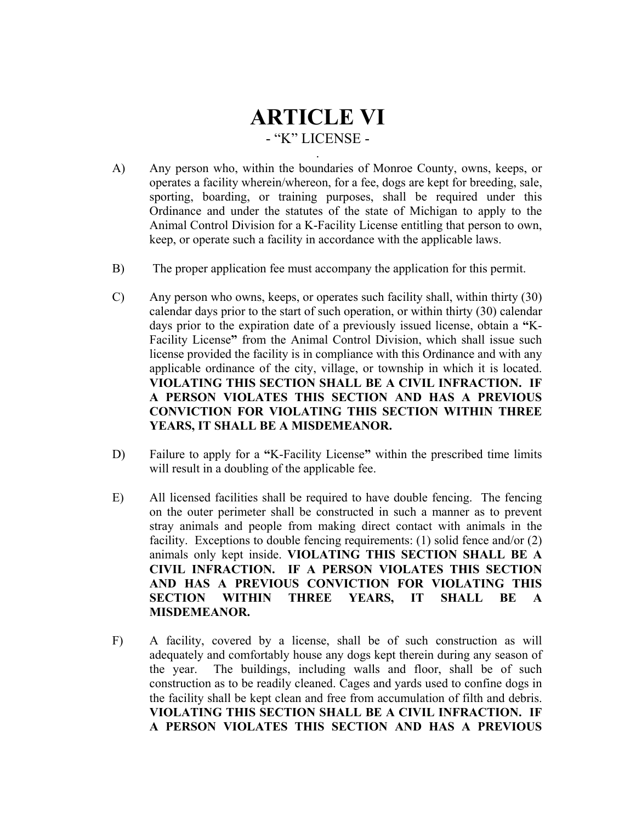### **ARTICLE VI**  - "K" LICENSE - .

- A) Any person who, within the boundaries of Monroe County, owns, keeps, or operates a facility wherein/whereon, for a fee, dogs are kept for breeding, sale, sporting, boarding, or training purposes, shall be required under this Ordinance and under the statutes of the state of Michigan to apply to the Animal Control Division for a K-Facility License entitling that person to own, keep, or operate such a facility in accordance with the applicable laws.
- B) The proper application fee must accompany the application for this permit.
- C) Any person who owns, keeps, or operates such facility shall, within thirty (30) calendar days prior to the start of such operation, or within thirty (30) calendar days prior to the expiration date of a previously issued license, obtain a **"**K-Facility License**"** from the Animal Control Division, which shall issue such license provided the facility is in compliance with this Ordinance and with any applicable ordinance of the city, village, or township in which it is located. **VIOLATING THIS SECTION SHALL BE A CIVIL INFRACTION. IF A PERSON VIOLATES THIS SECTION AND HAS A PREVIOUS CONVICTION FOR VIOLATING THIS SECTION WITHIN THREE YEARS, IT SHALL BE A MISDEMEANOR.**
- D) Failure to apply for a **"**K-Facility License**"** within the prescribed time limits will result in a doubling of the applicable fee.
- E) All licensed facilities shall be required to have double fencing. The fencing on the outer perimeter shall be constructed in such a manner as to prevent stray animals and people from making direct contact with animals in the facility. Exceptions to double fencing requirements: (1) solid fence and/or (2) animals only kept inside. **VIOLATING THIS SECTION SHALL BE A CIVIL INFRACTION. IF A PERSON VIOLATES THIS SECTION AND HAS A PREVIOUS CONVICTION FOR VIOLATING THIS SECTION WITHIN THREE YEARS, IT SHALL BE A MISDEMEANOR.**
- F) A facility, covered by a license, shall be of such construction as will adequately and comfortably house any dogs kept therein during any season of the year. The buildings, including walls and floor, shall be of such construction as to be readily cleaned. Cages and yards used to confine dogs in the facility shall be kept clean and free from accumulation of filth and debris. **VIOLATING THIS SECTION SHALL BE A CIVIL INFRACTION. IF A PERSON VIOLATES THIS SECTION AND HAS A PREVIOUS**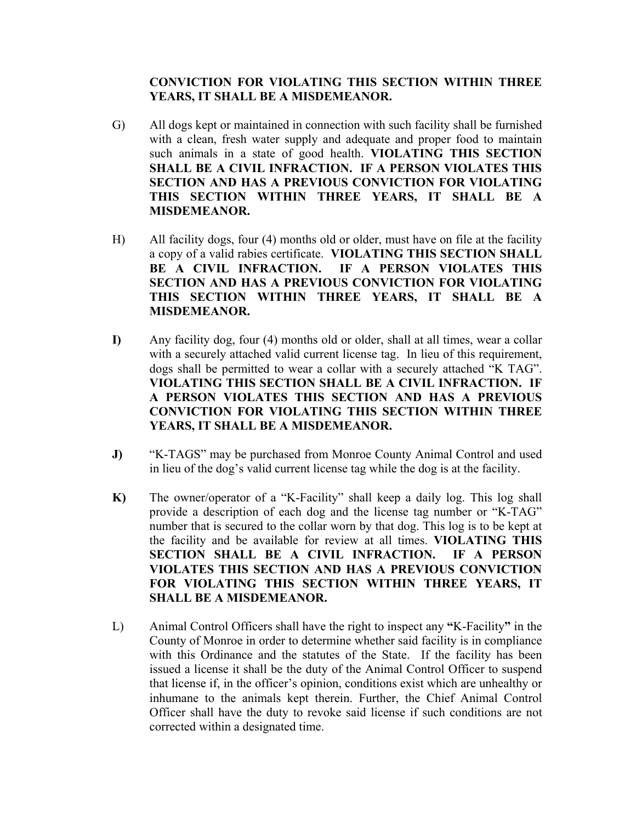#### **CONVICTION FOR VIOLATING THIS SECTION WITHIN THREE YEARS, IT SHALL BE A MISDEMEANOR.**

- G) All dogs kept or maintained in connection with such facility shall be furnished with a clean, fresh water supply and adequate and proper food to maintain such animals in a state of good health. **VIOLATING THIS SECTION SHALL BE A CIVIL INFRACTION. IF A PERSON VIOLATES THIS SECTION AND HAS A PREVIOUS CONVICTION FOR VIOLATING THIS SECTION WITHIN THREE YEARS, IT SHALL BE A MISDEMEANOR.**
- H) All facility dogs, four (4) months old or older, must have on file at the facility a copy of a valid rabies certificate. **VIOLATING THIS SECTION SHALL BE A CIVIL INFRACTION. IF A PERSON VIOLATES THIS SECTION AND HAS A PREVIOUS CONVICTION FOR VIOLATING THIS SECTION WITHIN THREE YEARS, IT SHALL BE A MISDEMEANOR.**
- **I)** Any facility dog, four (4) months old or older, shall at all times, wear a collar with a securely attached valid current license tag. In lieu of this requirement, dogs shall be permitted to wear a collar with a securely attached "K TAG". **VIOLATING THIS SECTION SHALL BE A CIVIL INFRACTION. IF A PERSON VIOLATES THIS SECTION AND HAS A PREVIOUS CONVICTION FOR VIOLATING THIS SECTION WITHIN THREE YEARS, IT SHALL BE A MISDEMEANOR.**
- **J)** "K-TAGS" may be purchased from Monroe County Animal Control and used in lieu of the dog's valid current license tag while the dog is at the facility.
- **K)** The owner/operator of a "K-Facility" shall keep a daily log. This log shall provide a description of each dog and the license tag number or "K-TAG" number that is secured to the collar worn by that dog. This log is to be kept at the facility and be available for review at all times. **VIOLATING THIS SECTION SHALL BE A CIVIL INFRACTION. IF A PERSON VIOLATES THIS SECTION AND HAS A PREVIOUS CONVICTION FOR VIOLATING THIS SECTION WITHIN THREE YEARS, IT SHALL BE A MISDEMEANOR.**
- L) Animal Control Officers shall have the right to inspect any **"**K-Facility**"** in the County of Monroe in order to determine whether said facility is in compliance with this Ordinance and the statutes of the State. If the facility has been issued a license it shall be the duty of the Animal Control Officer to suspend that license if, in the officer's opinion, conditions exist which are unhealthy or inhumane to the animals kept therein. Further, the Chief Animal Control Officer shall have the duty to revoke said license if such conditions are not corrected within a designated time.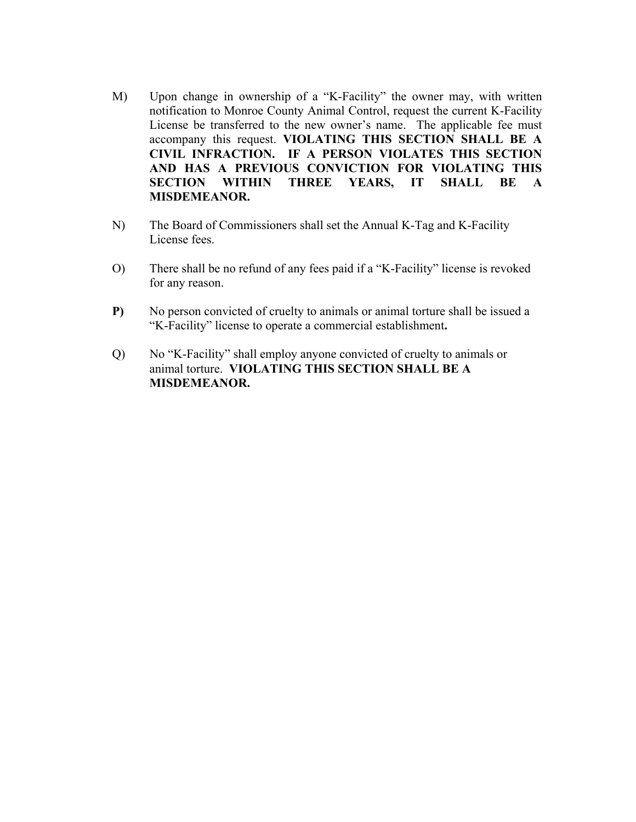- M) Upon change in ownership of a "K-Facility" the owner may, with written notification to Monroe County Animal Control, request the current K-Facility License be transferred to the new owner's name. The applicable fee must accompany this request. **VIOLATING THIS SECTION SHALL BE A CIVIL INFRACTION. IF A PERSON VIOLATES THIS SECTION AND HAS A PREVIOUS CONVICTION FOR VIOLATING THIS SECTION WITHIN THREE YEARS, IT SHALL BE A MISDEMEANOR.**
- N) The Board of Commissioners shall set the Annual K-Tag and K-Facility License fees.
- O) There shall be no refund of any fees paid if a "K-Facility" license is revoked for any reason.
- **P)** No person convicted of cruelty to animals or animal torture shall be issued a "K-Facility" license to operate a commercial establishment**.**
- Q) No "K-Facility" shall employ anyone convicted of cruelty to animals or animal torture. **VIOLATING THIS SECTION SHALL BE A MISDEMEANOR.**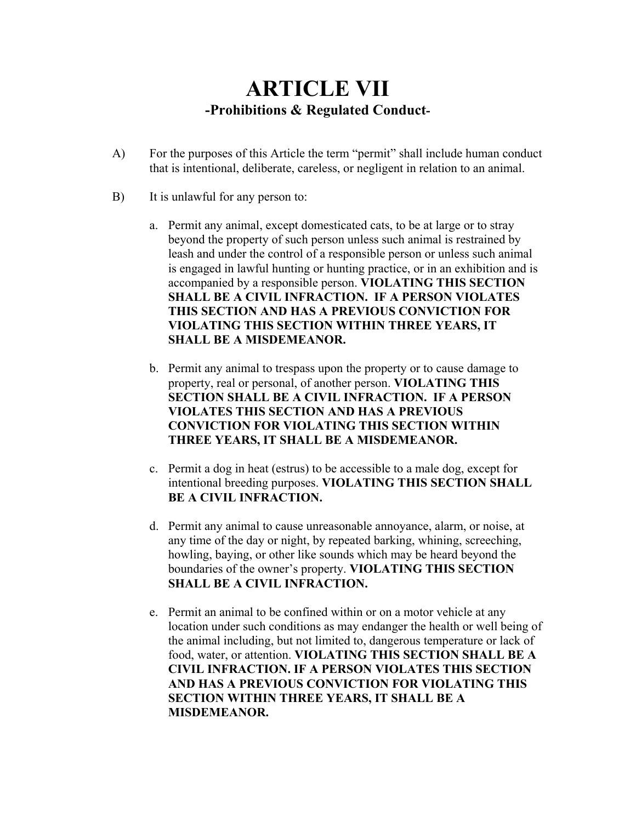### **ARTICLE VII -Prohibitions & Regulated Conduct-**

- A) For the purposes of this Article the term "permit" shall include human conduct that is intentional, deliberate, careless, or negligent in relation to an animal.
- B) It is unlawful for any person to:
	- a. Permit any animal, except domesticated cats, to be at large or to stray beyond the property of such person unless such animal is restrained by leash and under the control of a responsible person or unless such animal is engaged in lawful hunting or hunting practice, or in an exhibition and is accompanied by a responsible person. **VIOLATING THIS SECTION SHALL BE A CIVIL INFRACTION. IF A PERSON VIOLATES THIS SECTION AND HAS A PREVIOUS CONVICTION FOR VIOLATING THIS SECTION WITHIN THREE YEARS, IT SHALL BE A MISDEMEANOR.**
	- b. Permit any animal to trespass upon the property or to cause damage to property, real or personal, of another person. **VIOLATING THIS SECTION SHALL BE A CIVIL INFRACTION. IF A PERSON VIOLATES THIS SECTION AND HAS A PREVIOUS CONVICTION FOR VIOLATING THIS SECTION WITHIN THREE YEARS, IT SHALL BE A MISDEMEANOR.**
	- c. Permit a dog in heat (estrus) to be accessible to a male dog, except for intentional breeding purposes. **VIOLATING THIS SECTION SHALL BE A CIVIL INFRACTION.**
	- d. Permit any animal to cause unreasonable annoyance, alarm, or noise, at any time of the day or night, by repeated barking, whining, screeching, howling, baying, or other like sounds which may be heard beyond the boundaries of the owner's property. **VIOLATING THIS SECTION SHALL BE A CIVIL INFRACTION.**
	- e. Permit an animal to be confined within or on a motor vehicle at any location under such conditions as may endanger the health or well being of the animal including, but not limited to, dangerous temperature or lack of food, water, or attention. **VIOLATING THIS SECTION SHALL BE A CIVIL INFRACTION. IF A PERSON VIOLATES THIS SECTION AND HAS A PREVIOUS CONVICTION FOR VIOLATING THIS SECTION WITHIN THREE YEARS, IT SHALL BE A MISDEMEANOR.**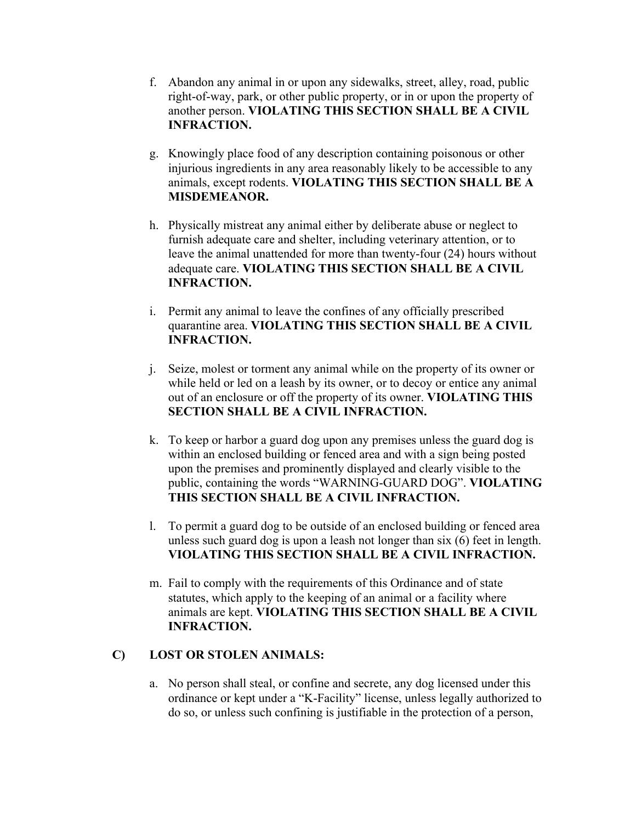- f. Abandon any animal in or upon any sidewalks, street, alley, road, public right-of-way, park, or other public property, or in or upon the property of another person. **VIOLATING THIS SECTION SHALL BE A CIVIL INFRACTION.**
- g. Knowingly place food of any description containing poisonous or other injurious ingredients in any area reasonably likely to be accessible to any animals, except rodents. **VIOLATING THIS SECTION SHALL BE A MISDEMEANOR.**
- h. Physically mistreat any animal either by deliberate abuse or neglect to furnish adequate care and shelter, including veterinary attention, or to leave the animal unattended for more than twenty-four (24) hours without adequate care. **VIOLATING THIS SECTION SHALL BE A CIVIL INFRACTION.**
- i. Permit any animal to leave the confines of any officially prescribed quarantine area. **VIOLATING THIS SECTION SHALL BE A CIVIL INFRACTION.**
- j. Seize, molest or torment any animal while on the property of its owner or while held or led on a leash by its owner, or to decoy or entice any animal out of an enclosure or off the property of its owner. **VIOLATING THIS SECTION SHALL BE A CIVIL INFRACTION.**
- k. To keep or harbor a guard dog upon any premises unless the guard dog is within an enclosed building or fenced area and with a sign being posted upon the premises and prominently displayed and clearly visible to the public, containing the words "WARNING-GUARD DOG". **VIOLATING THIS SECTION SHALL BE A CIVIL INFRACTION.**
- l. To permit a guard dog to be outside of an enclosed building or fenced area unless such guard dog is upon a leash not longer than six (6) feet in length. **VIOLATING THIS SECTION SHALL BE A CIVIL INFRACTION.**
- m. Fail to comply with the requirements of this Ordinance and of state statutes, which apply to the keeping of an animal or a facility where animals are kept. **VIOLATING THIS SECTION SHALL BE A CIVIL INFRACTION.**

#### **C) LOST OR STOLEN ANIMALS:**

a. No person shall steal, or confine and secrete, any dog licensed under this ordinance or kept under a "K-Facility" license, unless legally authorized to do so, or unless such confining is justifiable in the protection of a person,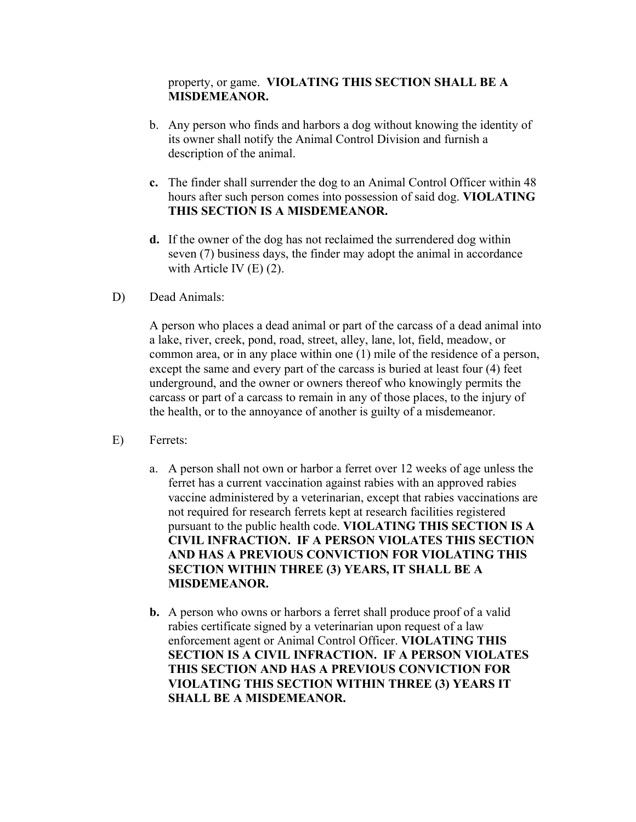#### property, or game. **VIOLATING THIS SECTION SHALL BE A MISDEMEANOR.**

- b. Any person who finds and harbors a dog without knowing the identity of its owner shall notify the Animal Control Division and furnish a description of the animal.
- **c.** The finder shall surrender the dog to an Animal Control Officer within 48 hours after such person comes into possession of said dog. **VIOLATING THIS SECTION IS A MISDEMEANOR.**
- **d.** If the owner of the dog has not reclaimed the surrendered dog within seven (7) business days, the finder may adopt the animal in accordance with Article IV (E) (2).
- D) Dead Animals:

A person who places a dead animal or part of the carcass of a dead animal into a lake, river, creek, pond, road, street, alley, lane, lot, field, meadow, or common area, or in any place within one (1) mile of the residence of a person, except the same and every part of the carcass is buried at least four (4) feet underground, and the owner or owners thereof who knowingly permits the carcass or part of a carcass to remain in any of those places, to the injury of the health, or to the annoyance of another is guilty of a misdemeanor.

- E) Ferrets:
	- a. A person shall not own or harbor a ferret over 12 weeks of age unless the ferret has a current vaccination against rabies with an approved rabies vaccine administered by a veterinarian, except that rabies vaccinations are not required for research ferrets kept at research facilities registered pursuant to the public health code. **VIOLATING THIS SECTION IS A CIVIL INFRACTION. IF A PERSON VIOLATES THIS SECTION AND HAS A PREVIOUS CONVICTION FOR VIOLATING THIS SECTION WITHIN THREE (3) YEARS, IT SHALL BE A MISDEMEANOR.**
	- **b.** A person who owns or harbors a ferret shall produce proof of a valid rabies certificate signed by a veterinarian upon request of a law enforcement agent or Animal Control Officer. **VIOLATING THIS SECTION IS A CIVIL INFRACTION. IF A PERSON VIOLATES THIS SECTION AND HAS A PREVIOUS CONVICTION FOR VIOLATING THIS SECTION WITHIN THREE (3) YEARS IT SHALL BE A MISDEMEANOR.**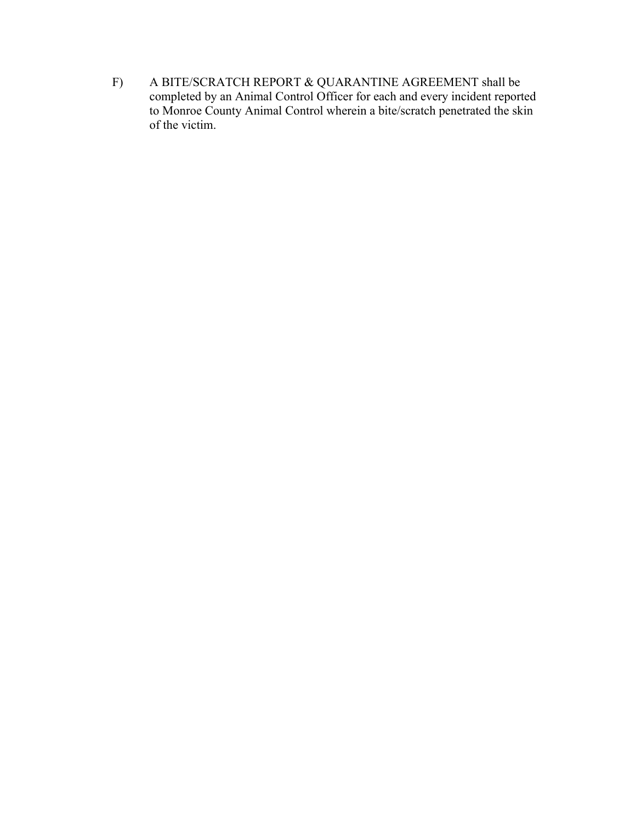F) A BITE/SCRATCH REPORT & QUARANTINE AGREEMENT shall be completed by an Animal Control Officer for each and every incident reported to Monroe County Animal Control wherein a bite/scratch penetrated the skin of the victim.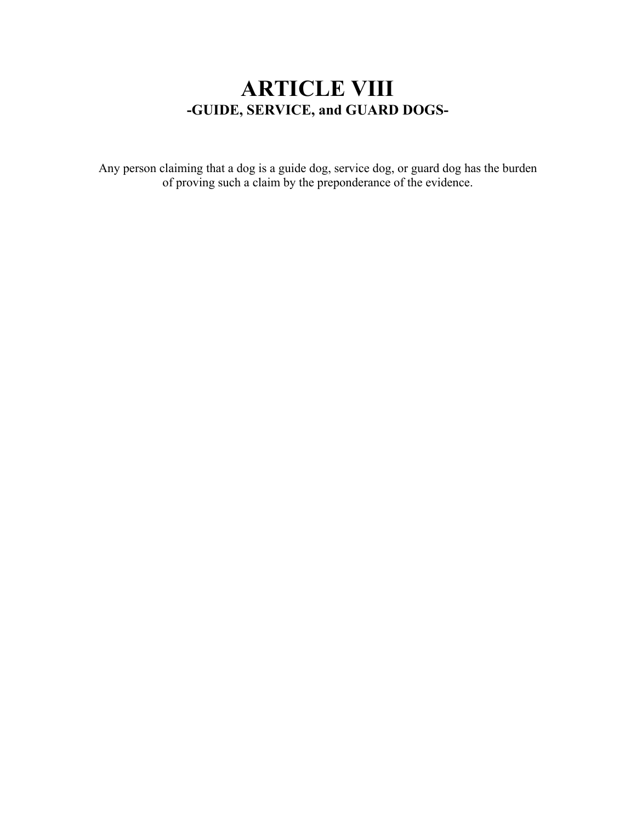### **ARTICLE VIII -GUIDE, SERVICE, and GUARD DOGS-**

Any person claiming that a dog is a guide dog, service dog, or guard dog has the burden of proving such a claim by the preponderance of the evidence.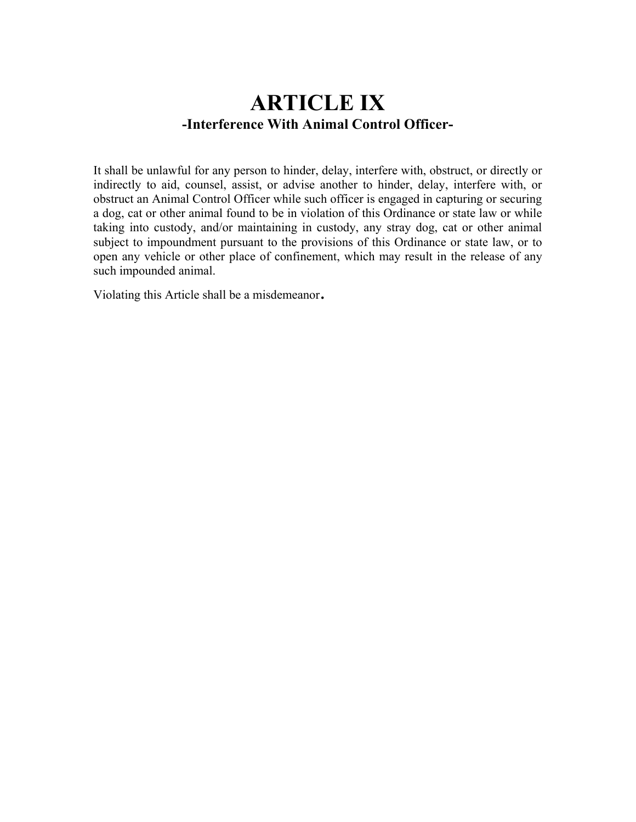### **ARTICLE IX -Interference With Animal Control Officer-**

It shall be unlawful for any person to hinder, delay, interfere with, obstruct, or directly or indirectly to aid, counsel, assist, or advise another to hinder, delay, interfere with, or obstruct an Animal Control Officer while such officer is engaged in capturing or securing a dog, cat or other animal found to be in violation of this Ordinance or state law or while taking into custody, and/or maintaining in custody, any stray dog, cat or other animal subject to impoundment pursuant to the provisions of this Ordinance or state law, or to open any vehicle or other place of confinement, which may result in the release of any such impounded animal.

Violating this Article shall be a misdemeanor.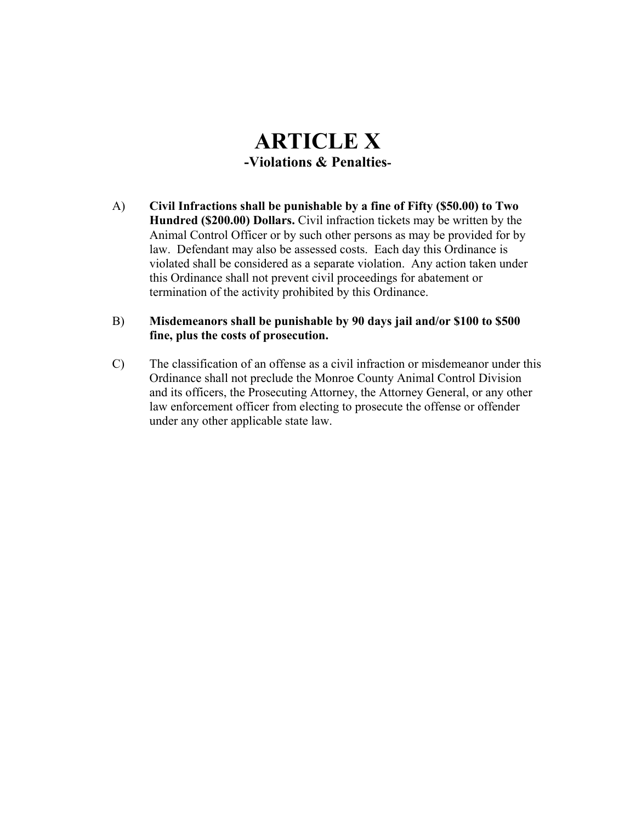### **ARTICLE X -Violations & Penalties-**

- A) **Civil Infractions shall be punishable by a fine of Fifty (\$50.00) to Two Hundred (\$200.00) Dollars.** Civil infraction tickets may be written by the Animal Control Officer or by such other persons as may be provided for by law. Defendant may also be assessed costs. Each day this Ordinance is violated shall be considered as a separate violation. Any action taken under this Ordinance shall not prevent civil proceedings for abatement or termination of the activity prohibited by this Ordinance.
- B) **Misdemeanors shall be punishable by 90 days jail and/or \$100 to \$500 fine, plus the costs of prosecution.**
- C) The classification of an offense as a civil infraction or misdemeanor under this Ordinance shall not preclude the Monroe County Animal Control Division and its officers, the Prosecuting Attorney, the Attorney General, or any other law enforcement officer from electing to prosecute the offense or offender under any other applicable state law.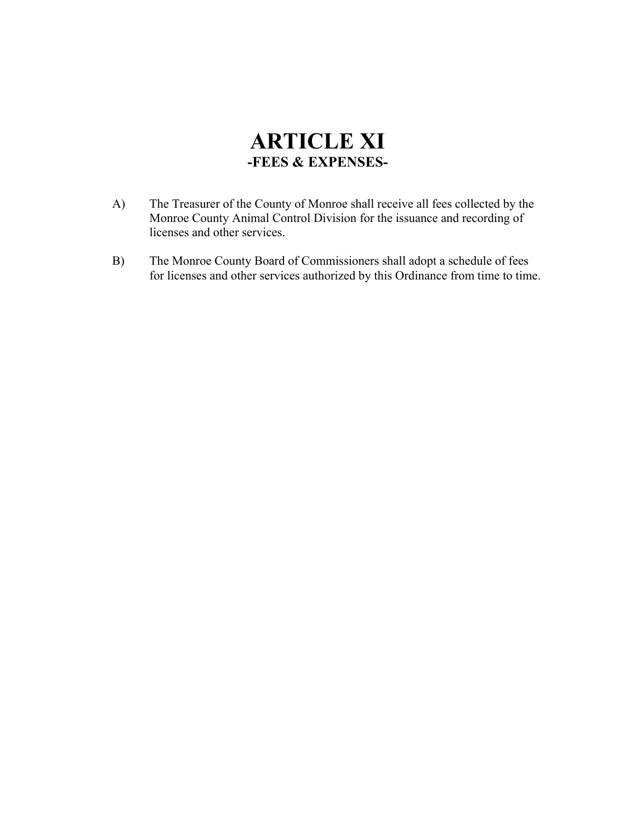### **ARTICLE XI -FEES & EXPENSES-**

- A) The Treasurer of the County of Monroe shall receive all fees collected by the Monroe County Animal Control Division for the issuance and recording of licenses and other services.
- B) The Monroe County Board of Commissioners shall adopt a schedule of fees for licenses and other services authorized by this Ordinance from time to time.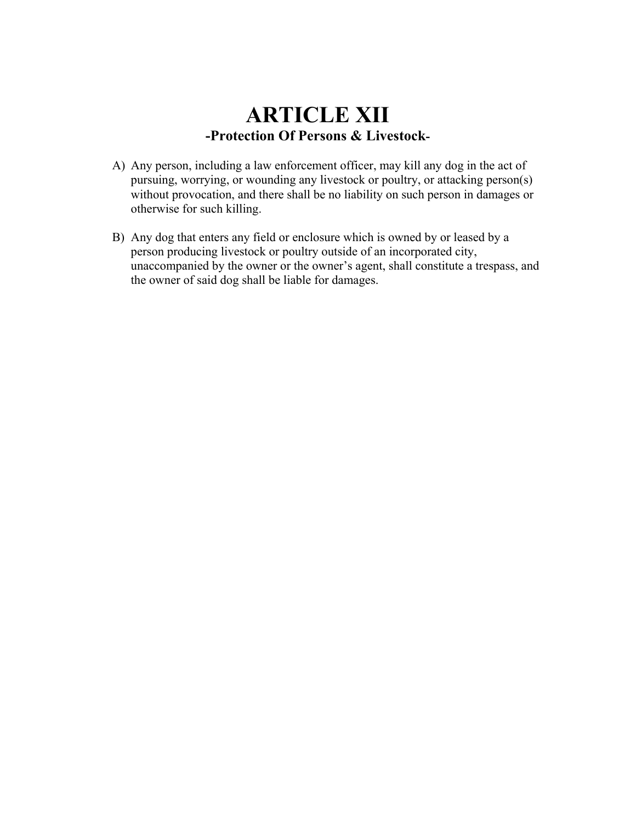### **ARTICLE XII -Protection Of Persons & Livestock-**

- A) Any person, including a law enforcement officer, may kill any dog in the act of pursuing, worrying, or wounding any livestock or poultry, or attacking person(s) without provocation, and there shall be no liability on such person in damages or otherwise for such killing.
- B) Any dog that enters any field or enclosure which is owned by or leased by a person producing livestock or poultry outside of an incorporated city, unaccompanied by the owner or the owner's agent, shall constitute a trespass, and the owner of said dog shall be liable for damages.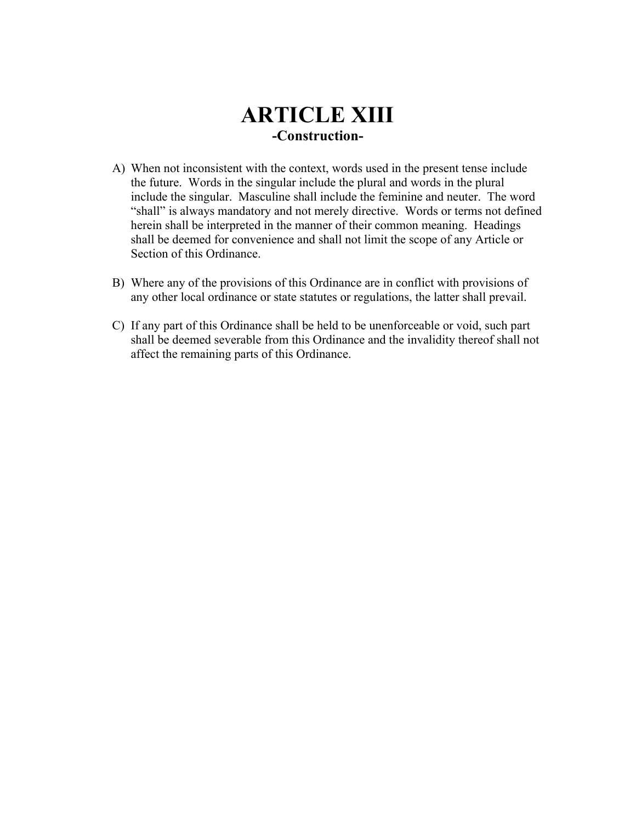### **ARTICLE XIII -Construction-**

- A) When not inconsistent with the context, words used in the present tense include the future. Words in the singular include the plural and words in the plural include the singular. Masculine shall include the feminine and neuter. The word "shall" is always mandatory and not merely directive. Words or terms not defined herein shall be interpreted in the manner of their common meaning. Headings shall be deemed for convenience and shall not limit the scope of any Article or Section of this Ordinance.
- B) Where any of the provisions of this Ordinance are in conflict with provisions of any other local ordinance or state statutes or regulations, the latter shall prevail.
- C) If any part of this Ordinance shall be held to be unenforceable or void, such part shall be deemed severable from this Ordinance and the invalidity thereof shall not affect the remaining parts of this Ordinance.